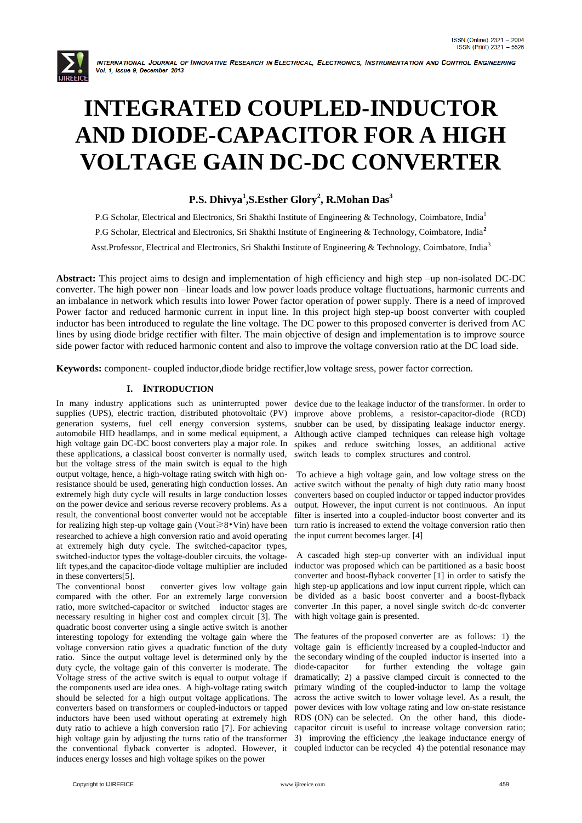

# **INTEGRATED COUPLED-INDUCTOR AND DIODE-CAPACITOR FOR A HIGH VOLTAGE GAIN DC-DC CONVERTER**

# **P.S. Dhivya<sup>1</sup> ,S.Esther Glory<sup>2</sup> , R.Mohan Das<sup>3</sup>**

P.G Scholar, Electrical and Electronics, Sri Shakthi Institute of Engineering & Technology, Coimbatore, India<sup>1</sup> P.G Scholar, Electrical and Electronics, Sri Shakthi Institute of Engineering & Technology, Coimbatore, India**<sup>2</sup>** Asst.Professor, Electrical and Electronics, Sri Shakthi Institute of Engineering & Technology, Coimbatore, India<sup>3</sup>

**Abstract:** This project aims to design and implementation of high efficiency and high step –up non-isolated DC-DC converter. The high power non –linear loads and low power loads produce voltage fluctuations, harmonic currents and an imbalance in network which results into lower Power factor operation of power supply. There is a need of improved Power factor and reduced harmonic current in input line. In this project high step-up boost converter with coupled inductor has been introduced to regulate the line voltage. The DC power to this proposed converter is derived from AC lines by using diode bridge rectifier with filter. The main objective of design and implementation is to improve source side power factor with reduced harmonic content and also to improve the voltage conversion ratio at the DC load side.

**Keywords:** component- coupled inductor,diode bridge rectifier,low voltage sress, power factor correction.

## **I. INTRODUCTION**

In many industry applications such as uninterrupted power supplies (UPS), electric traction, distributed photovoltaic (PV) generation systems, fuel cell energy conversion systems, automobile HID headlamps, and in some medical equipment, a high voltage gain DC-DC boost converters play a major role. In these applications, a classical boost converter is normally used, but the voltage stress of the main switch is equal to the high output voltage, hence, a high-voltage rating switch with high onresistance should be used, generating high conduction losses. An extremely high duty cycle will results in large conduction losses on the power device and serious reverse recovery problems. As a result, the conventional boost converter would not be acceptable for realizing high step-up voltage gain (Vout $\geq 8 \cdot$ Vin) have been researched to achieve a high conversion ratio and avoid operating at extremely high duty cycle. The switched-capacitor types, switched-inductor types the voltage-doubler circuits, the voltagelift types,and the capacitor-diode voltage multiplier are included in these converters[5].

The conventional boost converter gives low voltage gain compared with the other. For an extremely large conversion ratio, more switched-capacitor or switched inductor stages are necessary resulting in higher cost and complex circuit [3]. The quadratic boost converter using a single active switch is another interesting topology for extending the voltage gain where the voltage conversion ratio gives a quadratic function of the duty ratio. Since the output voltage level is determined only by the duty cycle, the voltage gain of this converter is moderate. The Voltage stress of the active switch is equal to output voltage if the components used are idea ones. A high-voltage rating switch should be selected for a high output voltage applications. The converters based on transformers or coupled-inductors or tapped inductors have been used without operating at extremely high duty ratio to achieve a high conversion ratio [7]. For achieving high voltage gain by adjusting the turns ratio of the transformer the conventional flyback converter is adopted. However, it induces energy losses and high voltage spikes on the power

device due to the leakage inductor of the transformer. In order to improve above problems, a resistor-capacitor-diode (RCD) snubber can be used, by dissipating leakage inductor energy. Although active clamped techniques can release high voltage spikes and reduce switching losses, an additional active switch leads to complex structures and control.

To achieve a high voltage gain, and low voltage stress on the active switch without the penalty of high duty ratio many boost converters based on coupled inductor or tapped inductor provides output. However, the input current is not continuous. An input filter is inserted into a coupled-inductor boost converter and its turn ratio is increased to extend the voltage conversion ratio then the input current becomes larger. [4]

A cascaded high step-up converter with an individual input inductor was proposed which can be partitioned as a basic boost converter and boost-flyback converter [1] in order to satisfy the high step-up applications and low input current ripple, which can be divided as a basic boost converter and a boost-flyback converter .In this paper, a novel single switch dc-dc converter with high voltage gain is presented.

The features of the proposed converter are as follows: 1) the voltage gain is efficiently increased by a coupled-inductor and the secondary winding of the coupled inductor is inserted into a diode-capacitor for further extending the voltage gain dramatically; 2) a passive clamped circuit is connected to the primary winding of the coupled-inductor to lamp the voltage across the active switch to lower voltage level. As a result, the power devices with low voltage rating and low on-state resistance RDS (ON) can be selected. On the other hand, this diodecapacitor circuit is useful to increase voltage conversion ratio; 3) improving the efficiency ,the leakage inductance energy of coupled inductor can be recycled 4) the potential resonance may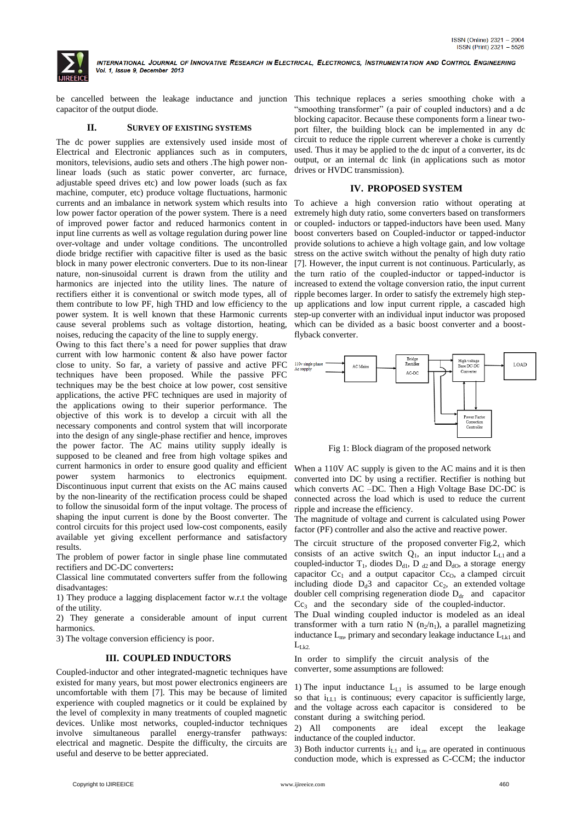

be cancelled between the leakage inductance and junction capacitor of the output diode.

## **II. SURVEY OF EXISTING SYSTEMS**

The dc power supplies are extensively used inside most of Electrical and Electronic appliances such as in computers, monitors, televisions, audio sets and others .The high power nonlinear loads (such as static power converter, arc furnace, adjustable speed drives etc) and low power loads (such as fax machine, computer, etc) produce voltage fluctuations, harmonic currents and an imbalance in network system which results into low power factor operation of the power system. There is a need of improved power factor and reduced harmonics content in input line currents as well as voltage regulation during power line over-voltage and under voltage conditions. The uncontrolled diode bridge rectifier with capacitive filter is used as the basic block in many power electronic converters. Due to its non-linear nature, non-sinusoidal current is drawn from the utility and harmonics are injected into the utility lines. The nature of rectifiers either it is conventional or switch mode types, all of them contribute to low PF, high THD and low efficiency to the power system. It is well known that these Harmonic currents cause several problems such as voltage distortion, heating, noises, reducing the capacity of the line to supply energy.

Owing to this fact there's a need for power supplies that draw current with low harmonic content & also have power factor close to unity. So far, a variety of passive and active PFC techniques have been proposed. While the passive PFC techniques may be the best choice at low power, cost sensitive applications, the active PFC techniques are used in majority of the applications owing to their superior performance. The objective of this work is to develop a circuit with all the necessary components and control system that will incorporate into the design of any single-phase rectifier and hence, improves the power factor. The AC mains utility supply ideally is supposed to be cleaned and free from high voltage spikes and current harmonics in order to ensure good quality and efficient power system harmonics to electronics equipment. Discontinuous input current that exists on the AC mains caused by the non-linearity of the rectification process could be shaped to follow the sinusoidal form of the input voltage. The process of shaping the input current is done by the Boost converter. The control circuits for this project used low-cost components, easily available yet giving excellent performance and satisfactory results.

The problem of power factor in single phase line commutated rectifiers and DC-DC converters**:**

Classical line commutated converters suffer from the following disadvantages:

1) They produce a lagging displacement factor w.r.t the voltage of the utility.

2) They generate a considerable amount of input current harmonics.

3) The voltage conversion efficiency is poor.

#### **III. COUPLED INDUCTORS**

Coupled-inductor and other integrated-magnetic techniques have existed for many years, but most power electronics engineers are uncomfortable with them [7]. This may be because of limited experience with coupled magnetics or it could be explained by the level of complexity in many treatments of coupled magnetic devices. Unlike most networks, coupled-inductor techniques involve simultaneous parallel energy-transfer pathways: electrical and magnetic. Despite the difficulty, the circuits are useful and deserve to be better appreciated.

This technique replaces a series smoothing choke with a "smoothing transformer" (a pair of coupled inductors) and a dc blocking capacitor. Because these components form a linear twoport filter, the building block can be implemented in any dc circuit to reduce the ripple current wherever a choke is currently used. Thus it may be applied to the dc input of a converter, its dc output, or an internal dc link (in applications such as motor drives or HVDC transmission).

#### **IV. PROPOSED SYSTEM**

To achieve a high conversion ratio without operating at extremely high duty ratio, some converters based on transformers or coupled- inductors or tapped-inductors have been used. Many boost converters based on Coupled-inductor or tapped-inductor provide solutions to achieve a high voltage gain, and low voltage stress on the active switch without the penalty of high duty ratio [7]. However, the input current is not continuous. Particularly, as the turn ratio of the coupled-inductor or tapped-inductor is increased to extend the voltage conversion ratio, the input current ripple becomes larger. In order to satisfy the extremely high stepup applications and low input current ripple, a cascaded high step-up converter with an individual input inductor was proposed which can be divided as a basic boost converter and a boostflyback converter.



Fig 1: Block diagram of the proposed network

When a 110V AC supply is given to the AC mains and it is then converted into DC by using a rectifier. Rectifier is nothing but which converts AC –DC. Then a High Voltage Base DC-DC is connected across the load which is used to reduce the current ripple and increase the efficiency.

The magnitude of voltage and current is calculated using Power factor (PF) controller and also the active and reactive power.

The circuit structure of the proposed converter Fig.2, which consists of an active switch  $Q_1$ , an input inductor  $L_{L1}$  and a coupled-inductor  $T_1$ , diodes  $D_{d1}$ ,  $D_{d2}$  and  $D_{d0}$ , a storage energy capacitor  $Cc_1$  and a output capacitor  $Cc_0$ , a clamped circuit including diode  $D_d$ 3 and capacitor Cc<sub>2</sub>, an extended voltage doubler cell comprising regeneration diode  $D_{dr}$  and capacitor  $Cc_3$  and the secondary side of the coupled-inductor.

The Dual winding coupled inductor is modeled as an ideal transformer with a turn ratio N  $(n_2/n_1)$ , a parallel magnetizing inductance  $L_m$ , primary and secondary leakage inductance  $L_{Lk1}$  and  $L_{Lk2}$ 

In order to simplify the circuit analysis of the converter, some assumptions are followed:

1) The input inductance  $L_{L1}$  is assumed to be large enough so that i<sub>LL1</sub> is continuous; every capacitor is sufficiently large, and the voltage across each capacitor is considered to be constant during a switching period.

2) All components are ideal except the leakage inductance of the coupled inductor.

3) Both inductor currents  $i_{L1}$  and  $i_{Lm}$  are operated in continuous conduction mode, which is expressed as C-CCM; the inductor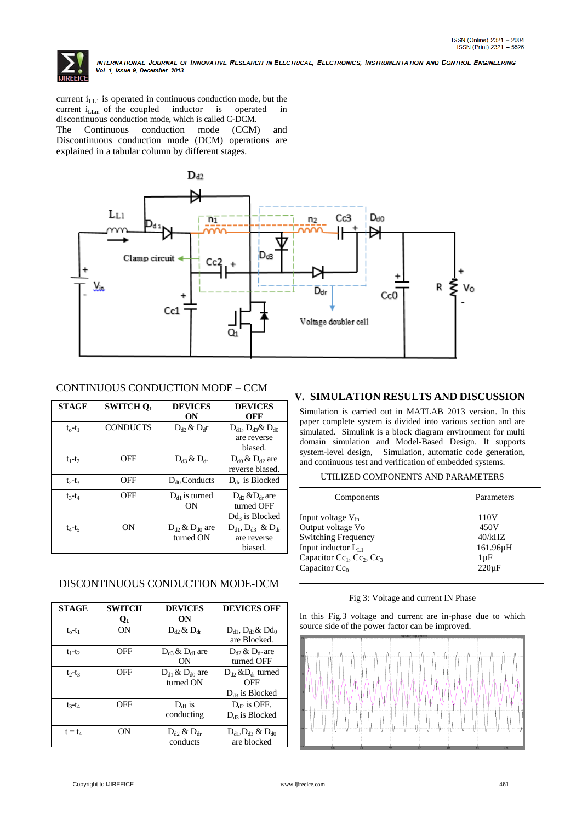

current  $i_{LL1}$  is operated in continuous conduction mode, but the current  $i_{LLm}$  of the coupled inductor is operated in discontinuous conduction mode, which is called C-DCM. The Continuous conduction mode (CCM) and Discontinuous conduction mode (DCM) operations are explained in a tabular column by different stages.



## CONTINUOUS CONDUCTION MODE – CCM

| <b>STAGE</b>  | <b>SWITCH O</b> | <b>DEVICES</b><br>ON                | <b>DEVICES</b><br>OFF                                      |
|---------------|-----------------|-------------------------------------|------------------------------------------------------------|
| $t_0$ - $t_1$ | <b>CONDUCTS</b> | $D_{d2} \& D_{d1}$                  | $D_{d1}$ , $D_{d3}$ & $D_{d0}$<br>are reverse<br>biased.   |
| $t_1-t_2$     | OFF             | $D_{d3} \& D_{dr}$                  | $D_{d0} \& D_{d2}$ are<br>reverse biased.                  |
| $t_2-t_3$     | OFF             | $D_{d0}$ Conducts                   | $D_{dr}$ is Blocked                                        |
| $t_3-t_4$     | OFF             | $D_{d1}$ is turned<br>OΝ            | $D_{d2}$ & $D_{dr}$ are<br>turned OFF<br>$Dd_3$ is Blocked |
| $t_4-t_5$     | OΝ              | $D_{d2} \& D_{d0}$ are<br>turned ON | $D_{d1}$ , $D_{d3}$ & $D_{dr}$<br>are reverse<br>biased.   |

# DISCONTINUOUS CONDUCTION MODE-DCM

| <b>STAGE</b> | <b>SWITCH</b><br>Q1 | <b>DEVICES</b><br>ON                | <b>DEVICES OFF</b>                                      |
|--------------|---------------------|-------------------------------------|---------------------------------------------------------|
| $t_0-t_1$    | ON                  | $D_{d2} \& D_{dr}$                  | $D_{d1}$ , $D_{d3}$ & $Dd_0$<br>are Blocked.            |
| $t_1-t_2$    | OFF                 | $D_{d3} \& D_{d1}$ are<br>OΝ        | $D_{d2} \& D_{dr}$ are<br>turned OFF                    |
| $t_2-t_3$    | OFF                 | $D_{d1} \& D_{d0}$ are<br>turned ON | $D_{d2} \& D_{dr}$ turned<br>OFF<br>$D_{d3}$ is Blocked |
| $t_3-t_4$    | OFF                 | $D_{d1}$ is<br>conducting           | $D_{d2}$ is OFF.<br>$D_{d3}$ is Blocked                 |
| $t = t_4$    | OΝ                  | $D_{d2} \& D_{dr}$<br>conducts      | $D_{d1}$ , $D_{d3}$ & $D_{d0}$<br>are blocked           |

# **V. SIMULATION RESULTS AND DISCUSSION**

Simulation is carried out in MATLAB 2013 version. In this paper complete system is divided into various section and are simulated. Simulink is a block diagram environment for multi domain simulation and Model-Based Design. It supports system-level design, Simulation, automatic code generation, and continuous test and verification of embedded systems.

## UTILIZED COMPONENTS AND PARAMETERS

| Components                                                    | Parameters  |
|---------------------------------------------------------------|-------------|
| Input voltage $V_{in}$                                        | 110V        |
| Output voltage Vo                                             | 450V        |
| <b>Switching Frequency</b>                                    | $40/k$ HZ   |
| Input inductor $L_{1,1}$                                      | 161.96uH    |
| Capacitor Cc <sub>1</sub> , Cc <sub>2</sub> , Cc <sub>3</sub> | $1 \mu F$   |
| Capacitor $Cc_0$                                              | $220 \mu F$ |

## Fig 3: Voltage and current IN Phase

In this Fig.3 voltage and current are in-phase due to which source side of the power factor can be improved.